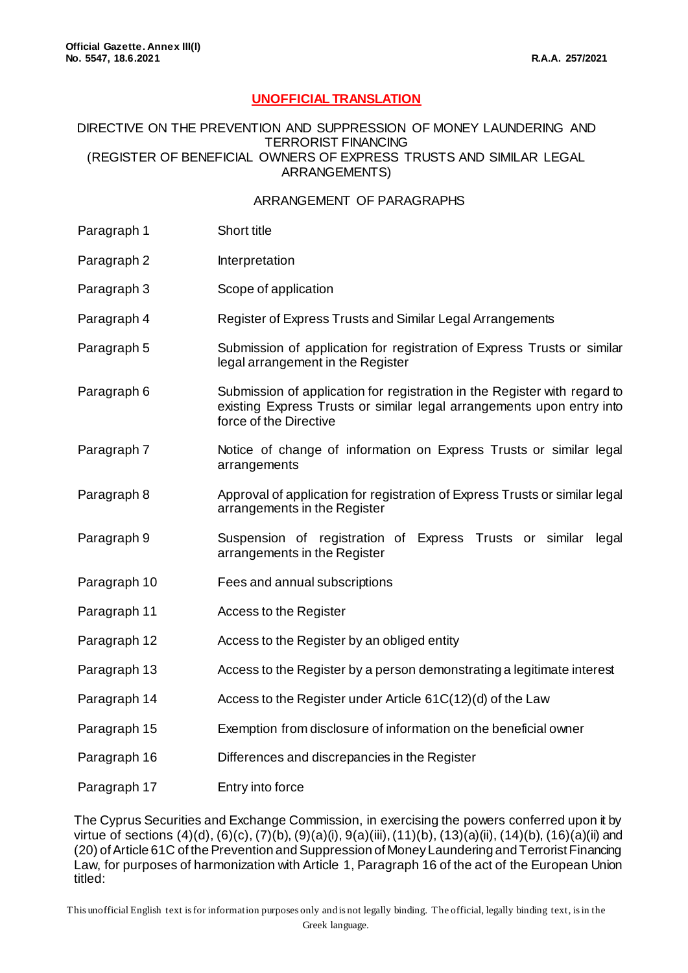## **UNOFFICIAL TRANSLATION**

## DIRECTIVE ON THE PREVENTION AND SUPPRESSION OF MONEY LAUNDERING AND TERRORIST FINANCING (REGISTER OF BENEFICIAL OWNERS OF EXPRESS TRUSTS AND SIMILAR LEGAL ARRANGEMENTS)

## ARRANGEMENT OF PARAGRAPHS

- Paragraph 1 Short title
- Paragraph 2 **Interpretation**
- Paragraph 3 Scope of application
- Paragraph 4 Register of Express Trusts and Similar Legal Arrangements
- Paragraph 5 Submission of application for registration of Express Trusts or similar legal arrangement in the Register
- Paragraph 6 Submission of application for registration in the Register with regard to existing Express Trusts or similar legal arrangements upon entry into force of the Directive
- Paragraph 7 Notice of change of information on Express Trusts or similar legal arrangements
- Paragraph 8 Approval of application for registration of Express Trusts or similar legal arrangements in the Register
- Paragraph 9 Suspension of registration of Express Trusts or similar legal arrangements in the Register
- Paragraph 10 Fees and annual subscriptions
- Paragraph 11 Access to the Register
- Paragraph 12 Access to the Register by an obliged entity
- Paragraph 13 Access to the Register by a person demonstrating a legitimate interest
- Paragraph 14 Access to the Register under Article 61C(12)(d) of the Law
- Paragraph 15 Exemption from disclosure of information on the beneficial owner
- Paragraph 16 Differences and discrepancies in the Register
- Paragraph 17 Entry into force

The Cyprus Securities and Exchange Commission, in exercising the powers conferred upon it by virtue of sections (4)(d), (6)(c), (7)(b), (9)(a)(i), 9(a)(iii), (11)(b), (13)(a)(ii), (14)(b), (16)(a)(ii) and (20) of Article 61C of the Prevention and Suppression of Money Laundering and Terrorist Financing Law, for purposes of harmonization with Article 1, Paragraph 16 of the act of the European Union titled: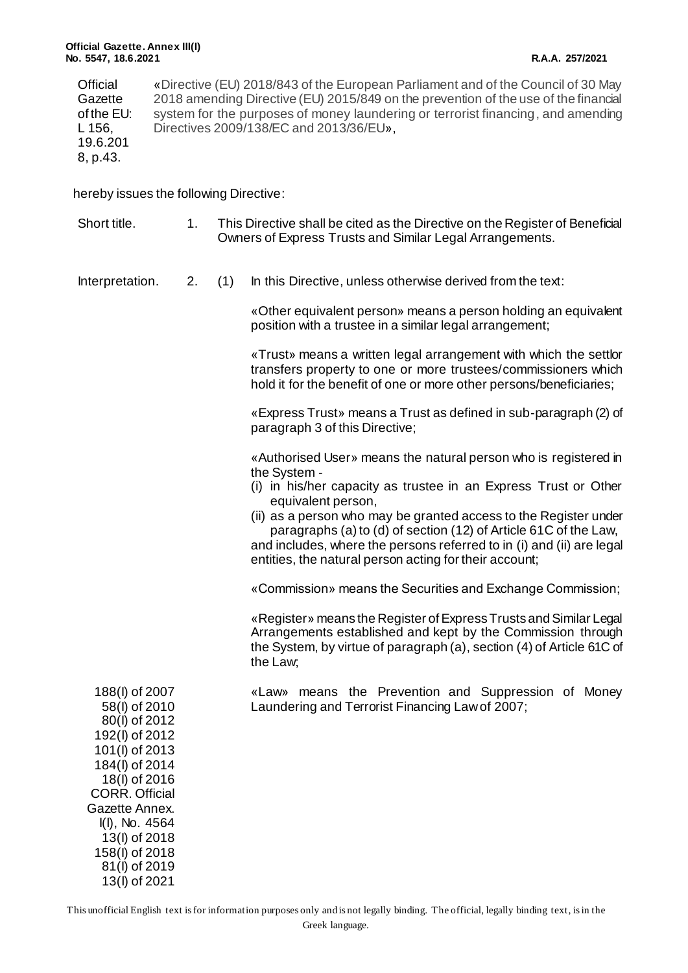**Official** Gazette of the EU: L 156, 19.6.201 8, p.43. «Directive (EU) 2018/843 of the European Parliament and of the Council of 30 May 2018 amending Directive (EU) 2015/849 on the prevention of the use of the financial system for the purposes of money laundering or terrorist financing, and amending Directives 2009/138/EC and 2013/36/EU»,

hereby issues the following Directive:

| Short title.                                                                                                                                                                                                                                              | 1. | This Directive shall be cited as the Directive on the Register of Beneficial<br>Owners of Express Trusts and Similar Legal Arrangements. |                                                                                                                                                                                                                                                                                                                                                                                                                                                                                                                                                                                                                                                                                                                                            |
|-----------------------------------------------------------------------------------------------------------------------------------------------------------------------------------------------------------------------------------------------------------|----|------------------------------------------------------------------------------------------------------------------------------------------|--------------------------------------------------------------------------------------------------------------------------------------------------------------------------------------------------------------------------------------------------------------------------------------------------------------------------------------------------------------------------------------------------------------------------------------------------------------------------------------------------------------------------------------------------------------------------------------------------------------------------------------------------------------------------------------------------------------------------------------------|
| Interpretation.                                                                                                                                                                                                                                           | 2. | (1)                                                                                                                                      | In this Directive, unless otherwise derived from the text:                                                                                                                                                                                                                                                                                                                                                                                                                                                                                                                                                                                                                                                                                 |
|                                                                                                                                                                                                                                                           |    |                                                                                                                                          | «Other equivalent person» means a person holding an equivalent<br>position with a trustee in a similar legal arrangement;                                                                                                                                                                                                                                                                                                                                                                                                                                                                                                                                                                                                                  |
|                                                                                                                                                                                                                                                           |    |                                                                                                                                          | «Trust» means a written legal arrangement with which the settlor<br>transfers property to one or more trustees/commissioners which<br>hold it for the benefit of one or more other persons/beneficiaries;                                                                                                                                                                                                                                                                                                                                                                                                                                                                                                                                  |
|                                                                                                                                                                                                                                                           |    |                                                                                                                                          | «Express Trust» means a Trust as defined in sub-paragraph (2) of<br>paragraph 3 of this Directive;                                                                                                                                                                                                                                                                                                                                                                                                                                                                                                                                                                                                                                         |
|                                                                                                                                                                                                                                                           |    |                                                                                                                                          | «Authorised User» means the natural person who is registered in<br>the System -<br>(i) in his/her capacity as trustee in an Express Trust or Other<br>equivalent person,<br>(ii) as a person who may be granted access to the Register under<br>paragraphs (a) to (d) of section (12) of Article 61C of the Law,<br>and includes, where the persons referred to in (i) and (ii) are legal<br>entities, the natural person acting for their account;<br>«Commission» means the Securities and Exchange Commission;<br>«Register» means the Register of Express Trusts and Similar Legal<br>Arrangements established and kept by the Commission through<br>the System, by virtue of paragraph (a), section (4) of Article 61C of<br>the Law; |
| 188(I) of 2007<br>58(l) of 2010<br>80(l) of 2012<br>192(l) of 2012<br>101(l) of 2013<br>184(I) of 2014<br>18(I) of 2016<br><b>CORR. Official</b><br>Gazette Annex.<br>I(I), No. 4564<br>13(I) of 2018<br>158(l) of 2018<br>81(I) of 2019<br>13(I) of 2021 |    |                                                                                                                                          | «Law» means the Prevention and Suppression of Money<br>Laundering and Terrorist Financing Law of 2007;                                                                                                                                                                                                                                                                                                                                                                                                                                                                                                                                                                                                                                     |

This unofficial English text is for information purposes only and is not legally binding. The official, legally binding text, is in the Greek language.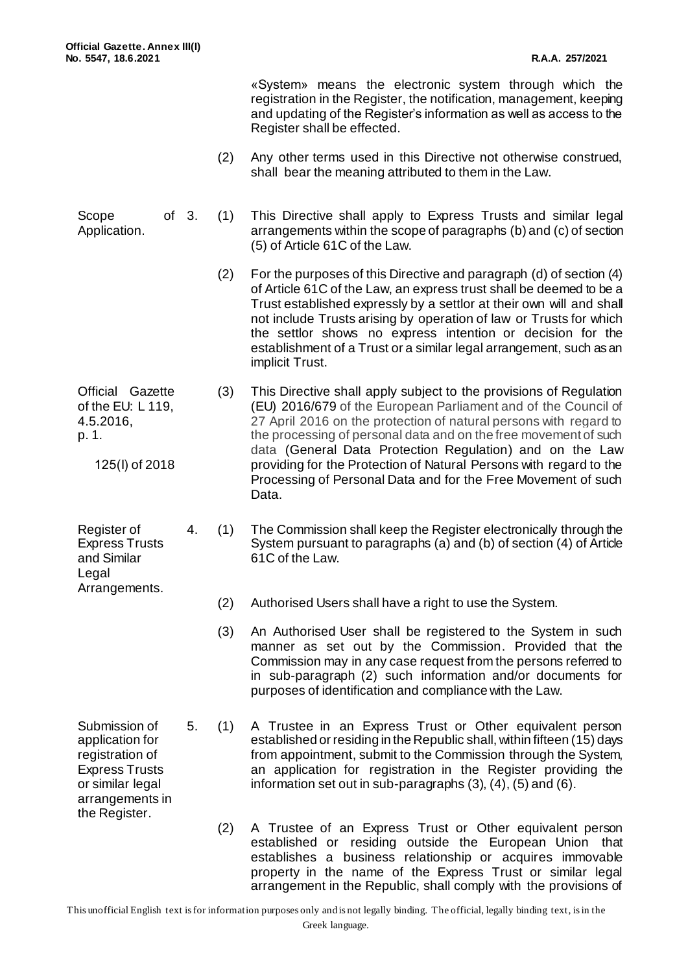|                                                                                                                                      |         |     | «System» means the electronic system through which the<br>registration in the Register, the notification, management, keeping<br>and updating of the Register's information as well as access to the<br>Register shall be effected.                                                                                                                                                                                                                                                       |
|--------------------------------------------------------------------------------------------------------------------------------------|---------|-----|-------------------------------------------------------------------------------------------------------------------------------------------------------------------------------------------------------------------------------------------------------------------------------------------------------------------------------------------------------------------------------------------------------------------------------------------------------------------------------------------|
|                                                                                                                                      |         | (2) | Any other terms used in this Directive not otherwise construed,<br>shall bear the meaning attributed to them in the Law.                                                                                                                                                                                                                                                                                                                                                                  |
| Scope<br>Application.                                                                                                                | of $3.$ | (1) | This Directive shall apply to Express Trusts and similar legal<br>arrangements within the scope of paragraphs (b) and (c) of section<br>(5) of Article 61C of the Law.                                                                                                                                                                                                                                                                                                                    |
|                                                                                                                                      |         | (2) | For the purposes of this Directive and paragraph (d) of section (4)<br>of Article 61C of the Law, an express trust shall be deemed to be a<br>Trust established expressly by a settlor at their own will and shall<br>not include Trusts arising by operation of law or Trusts for which<br>the settlor shows no express intention or decision for the<br>establishment of a Trust or a similar legal arrangement, such as an<br>implicit Trust.                                          |
| Official Gazette<br>of the EU: $L$ 119,<br>4.5.2016,<br>p. 1.<br>125(I) of 2018                                                      |         | (3) | This Directive shall apply subject to the provisions of Regulation<br>(EU) 2016/679 of the European Parliament and of the Council of<br>27 April 2016 on the protection of natural persons with regard to<br>the processing of personal data and on the free movement of such<br>data (General Data Protection Regulation) and on the Law<br>providing for the Protection of Natural Persons with regard to the<br>Processing of Personal Data and for the Free Movement of such<br>Data. |
| Register of<br><b>Express Trusts</b><br>and Similar<br>Legal<br>Arrangements.                                                        | 4.      | (1) | The Commission shall keep the Register electronically through the<br>System pursuant to paragraphs (a) and (b) of section (4) of Article<br>61C of the Law.                                                                                                                                                                                                                                                                                                                               |
|                                                                                                                                      |         | (2) | Authorised Users shall have a right to use the System.                                                                                                                                                                                                                                                                                                                                                                                                                                    |
|                                                                                                                                      |         | (3) | An Authorised User shall be registered to the System in such<br>manner as set out by the Commission. Provided that the<br>Commission may in any case request from the persons referred to<br>in sub-paragraph (2) such information and/or documents for<br>purposes of identification and compliance with the Law.                                                                                                                                                                        |
| Submission of<br>application for<br>registration of<br><b>Express Trusts</b><br>or similar legal<br>arrangements in<br>the Register. | 5.      | (1) | A Trustee in an Express Trust or Other equivalent person<br>established or residing in the Republic shall, within fifteen (15) days<br>from appointment, submit to the Commission through the System,<br>an application for registration in the Register providing the<br>information set out in sub-paragraphs $(3)$ , $(4)$ , $(5)$ and $(6)$ .                                                                                                                                         |
|                                                                                                                                      |         | (2) | A Trustee of an Express Trust or Other equivalent person<br>established or residing outside the European Union that<br>establishes a business relationship or acquires immovable                                                                                                                                                                                                                                                                                                          |

This unofficial English text is for information purposes only and is not legally binding. The official, legally binding text, is in the Greek language.

property in the name of the Express Trust or similar legal arrangement in the Republic, shall comply with the provisions of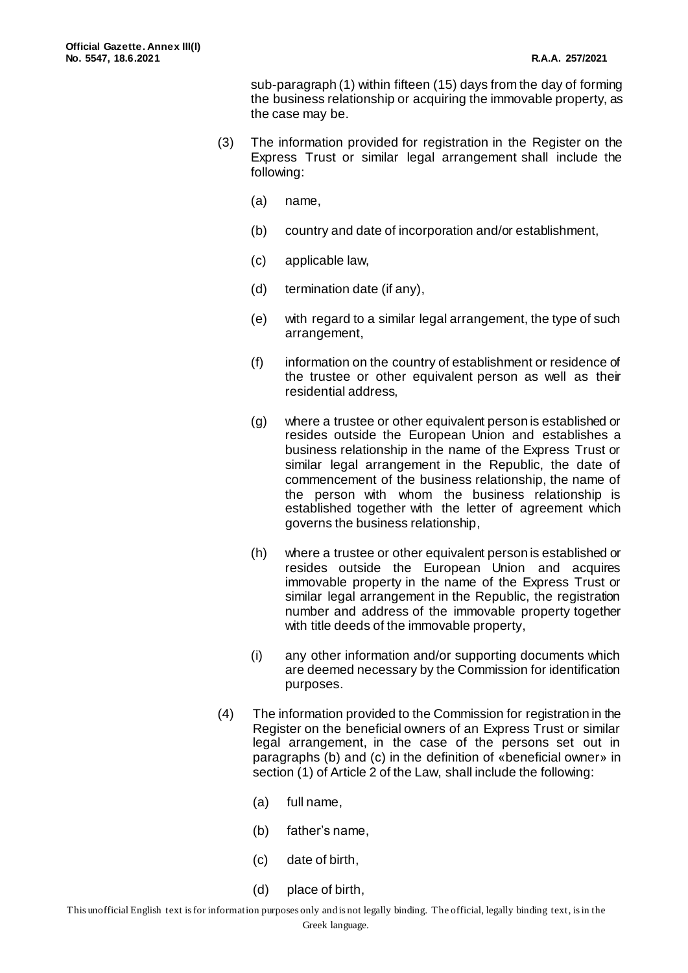sub-paragraph (1) within fifteen (15) days from the day of forming the business relationship or acquiring the immovable property, as the case may be.

- (3) The information provided for registration in the Register on the Express Trust or similar legal arrangement shall include the following:
	- (a) name,
	- (b) country and date of incorporation and/or establishment,
	- (c) applicable law,
	- (d) termination date (if any),
	- (e) with regard to a similar legal arrangement, the type of such arrangement,
	- (f) information on the country of establishment or residence of the trustee or other equivalent person as well as their residential address,
	- (g) where a trustee or other equivalent person is established or resides outside the European Union and establishes a business relationship in the name of the Express Trust or similar legal arrangement in the Republic, the date of commencement of the business relationship, the name of the person with whom the business relationship is established together with the letter of agreement which governs the business relationship,
	- (h) where a trustee or other equivalent person is established or resides outside the European Union and acquires immovable property in the name of the Express Trust or similar legal arrangement in the Republic, the registration number and address of the immovable property together with title deeds of the immovable property,
	- (i) any other information and/or supporting documents which are deemed necessary by the Commission for identification purposes.
- (4) The information provided to the Commission for registration in the Register on the beneficial owners of an Express Trust or similar legal arrangement, in the case of the persons set out in paragraphs (b) and (c) in the definition of «beneficial owner» in section (1) of Article 2 of the Law, shall include the following:
	- (a) full name,
	- (b) father's name,
	- (c) date of birth,
	- (d) place of birth,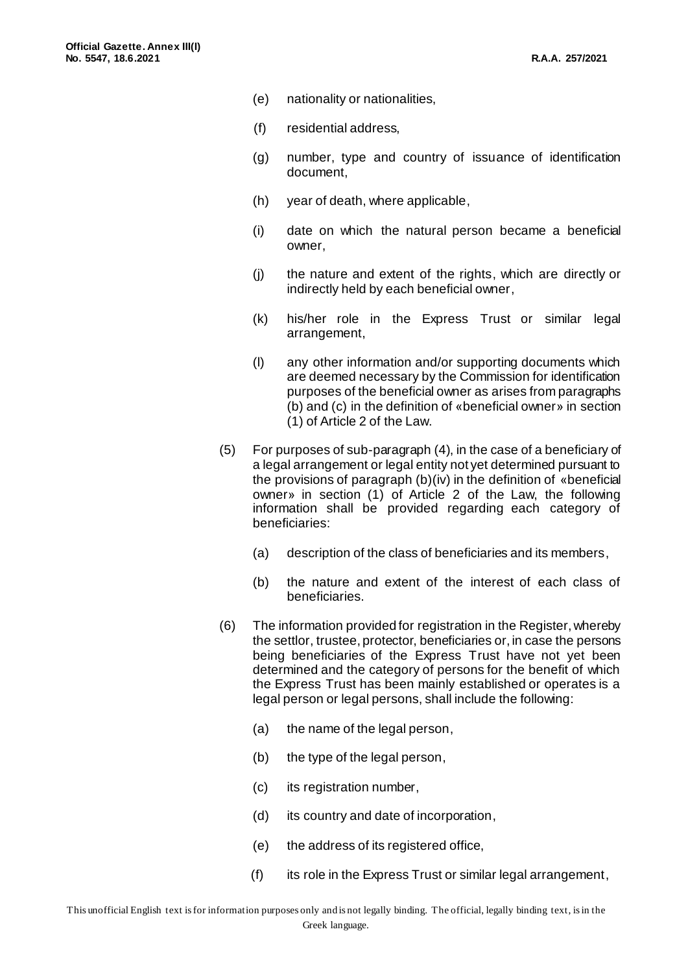- (e) nationality or nationalities,
- (f) residential address,
- (g) number, type and country of issuance of identification document,
- (h) year of death, where applicable,
- (i) date on which the natural person became a beneficial owner,
- (j) the nature and extent of the rights, which are directly or indirectly held by each beneficial owner,
- (k) his/her role in the Express Trust or similar legal arrangement,
- (l) any other information and/or supporting documents which are deemed necessary by the Commission for identification purposes of the beneficial owner as arises from paragraphs (b) and (c) in the definition of «beneficial owner» in section (1) of Article 2 of the Law.
- (5) For purposes of sub-paragraph (4), in the case of a beneficiary of a legal arrangement or legal entity not yet determined pursuant to the provisions of paragraph (b)(iv) in the definition of «beneficial owner» in section (1) of Article 2 of the Law, the following information shall be provided regarding each category of beneficiaries:
	- (a) description of the class of beneficiaries and its members,
	- (b) the nature and extent of the interest of each class of beneficiaries.
- (6) The information provided for registration in the Register, whereby the settlor, trustee, protector, beneficiaries or, in case the persons being beneficiaries of the Express Trust have not yet been determined and the category of persons for the benefit of which the Express Trust has been mainly established or operates is a legal person or legal persons, shall include the following:
	- (a) the name of the legal person,
	- (b) the type of the legal person,
	- (c) its registration number,
	- (d) its country and date of incorporation,
	- (e) the address of its registered office,
	- (f) its role in the Express Trust or similar legal arrangement,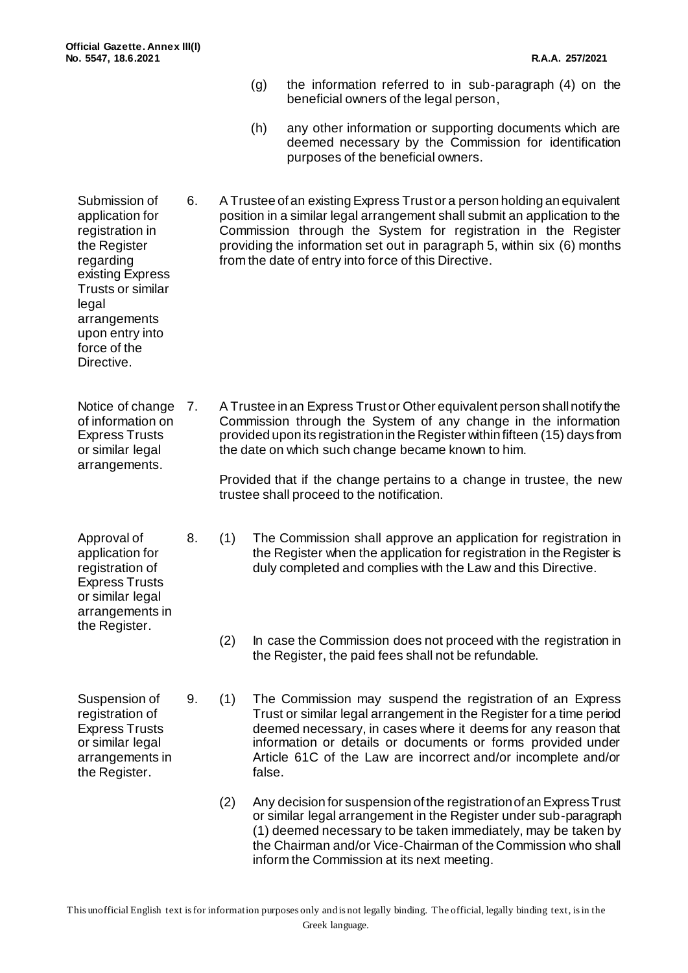Submission of application for registration in the Register regarding

existing Express Trusts or similar

arrangements upon entry into force of the Directive.

legal

- (g) the information referred to in sub-paragraph (4) on the beneficial owners of the legal person,
- (h) any other information or supporting documents which are deemed necessary by the Commission for identification purposes of the beneficial owners.
- 6. A Trustee of an existing Express Trust or a person holding an equivalent position in a similar legal arrangement shall submit an application to the Commission through the System for registration in the Register providing the information set out in paragraph 5, within six (6) months from the date of entry into force of this Directive.

Notice of change 7. of information on Express Trusts or similar legal arrangements. 7. A Trustee in an Express Trust or Other equivalent person shall notify the Commission through the System of any change in the information provided upon its registrationin the Register within fifteen (15) days from the date on which such change became known to him.

> Provided that if the change pertains to a change in trustee, the new trustee shall proceed to the notification.

Approval of application for registration of Express Trusts or similar legal arrangements in the Register.

Suspension of registration of Express Trusts or similar legal arrangements in the Register.

- 8. (1) The Commission shall approve an application for registration in the Register when the application for registration in the Register is duly completed and complies with the Law and this Directive.
	- (2) In case the Commission does not proceed with the registration in the Register, the paid fees shall not be refundable.
- 9. (1) The Commission may suspend the registration of an Express Trust or similar legal arrangement in the Register for a time period deemed necessary, in cases where it deems for any reason that information or details or documents or forms provided under Article 61C of the Law are incorrect and/or incomplete and/or false.
	- (2) Any decision for suspension of the registrationof an Express Trust or similar legal arrangement in the Register under sub-paragraph (1) deemed necessary to be taken immediately, may be taken by the Chairman and/or Vice-Chairman of the Commission who shall inform the Commission at its next meeting.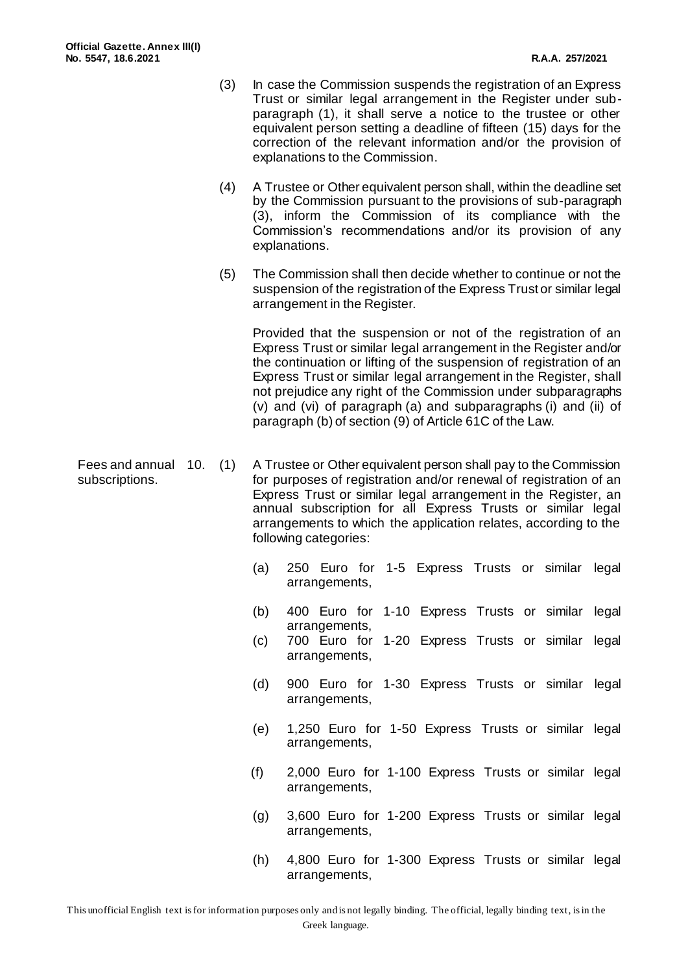- (3) In case the Commission suspends the registration of an Express Trust or similar legal arrangement in the Register under subparagraph (1), it shall serve a notice to the trustee or other equivalent person setting a deadline of fifteen (15) days for the correction of the relevant information and/or the provision of explanations to the Commission.
- (4) A Trustee or Other equivalent person shall, within the deadline set by the Commission pursuant to the provisions of sub-paragraph (3), inform the Commission of its compliance with the Commission's recommendations and/or its provision of any explanations.
- (5) The Commission shall then decide whether to continue or not the suspension of the registration of the Express Trust or similar legal arrangement in the Register.

Provided that the suspension or not of the registration of an Express Trust or similar legal arrangement in the Register and/or the continuation or lifting of the suspension of registration of an Express Trust or similar legal arrangement in the Register, shall not prejudice any right of the Commission under subparagraphs (v) and (vi) of paragraph (a) and subparagraphs (i) and (ii) of paragraph (b) of section (9) of Article 61C of the Law.

- Fees and annual 10. (1) subscriptions. A Trustee or Other equivalent person shall pay to the Commission for purposes of registration and/or renewal of registration of an Express Trust or similar legal arrangement in the Register, an annual subscription for all Express Trusts or similar legal arrangements to which the application relates, according to the following categories:
	- (a) 250 Euro for 1-5 Express Trusts or similar legal arrangements,
	- (b) 400 Euro for 1-10 Express Trusts or similar legal arrangements,
	- (c) 700 Euro for 1-20 Express Trusts or similar legal arrangements,
	- (d) 900 Euro for 1-30 Express Trusts or similar legal arrangements,
	- (e) 1,250 Euro for 1-50 Express Trusts or similar legal arrangements,
	- (f) 2,000 Euro for 1-100 Express Trusts or similar legal arrangements,
	- (g) 3,600 Euro for 1-200 Express Trusts or similar legal arrangements,
	- (h) 4,800 Euro for 1-300 Express Trusts or similar legal arrangements,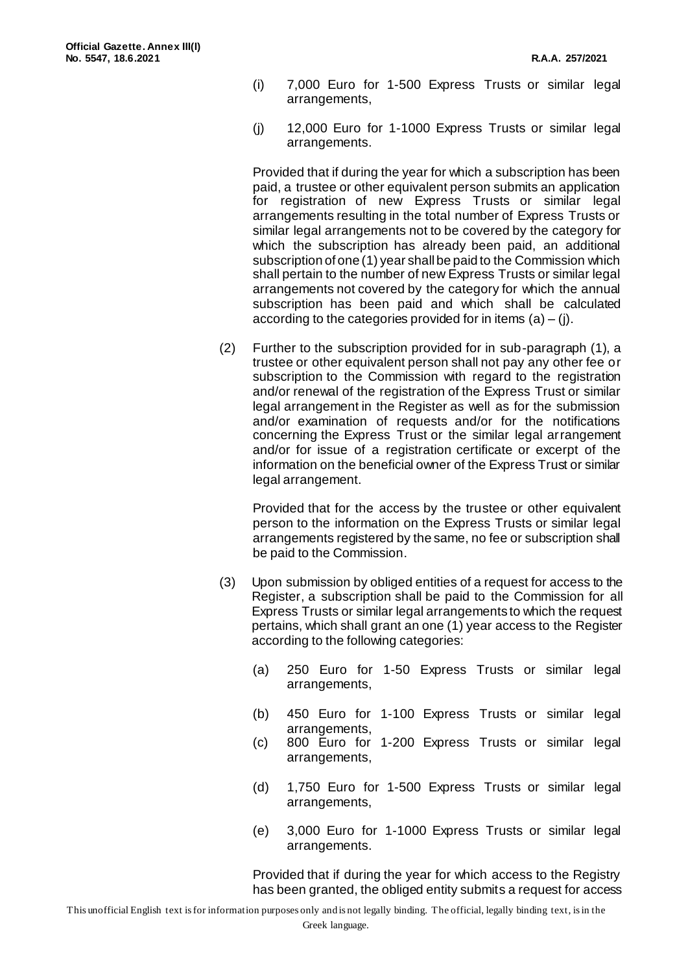- (i) 7,000 Euro for 1-500 Express Trusts or similar legal arrangements,
- (j) 12,000 Euro for 1-1000 Express Trusts or similar legal arrangements.

Provided that if during the year for which a subscription has been paid, a trustee or other equivalent person submits an application for registration of new Express Trusts or similar legal arrangements resulting in the total number of Express Trusts or similar legal arrangements not to be covered by the category for which the subscription has already been paid, an additional subscription of one (1) year shall be paid to the Commission which shall pertain to the number of new Express Trusts or similar legal arrangements not covered by the category for which the annual subscription has been paid and which shall be calculated according to the categories provided for in items  $(a) - (j)$ .

(2) Further to the subscription provided for in sub-paragraph (1), a trustee or other equivalent person shall not pay any other fee or subscription to the Commission with regard to the registration and/or renewal of the registration of the Express Trust or similar legal arrangement in the Register as well as for the submission and/or examination of requests and/or for the notifications concerning the Express Trust or the similar legal arrangement and/or for issue of a registration certificate or excerpt of the information on the beneficial owner of the Express Trust or similar legal arrangement.

Provided that for the access by the trustee or other equivalent person to the information on the Express Trusts or similar legal arrangements registered by the same, no fee or subscription shall be paid to the Commission.

- (3) Upon submission by obliged entities of a request for access to the Register, a subscription shall be paid to the Commission for all Express Trusts or similar legal arrangements to which the request pertains, which shall grant an one (1) year access to the Register according to the following categories:
	- (a) 250 Euro for 1-50 Express Trusts or similar legal arrangements,
	- (b) 450 Euro for 1-100 Express Trusts or similar legal arrangements,
	- (c) 800 Euro for 1-200 Express Trusts or similar legal arrangements,
	- (d) 1,750 Euro for 1-500 Express Trusts or similar legal arrangements,
	- (e) 3,000 Euro for 1-1000 Express Trusts or similar legal arrangements.

Provided that if during the year for which access to the Registry has been granted, the obliged entity submits a request for access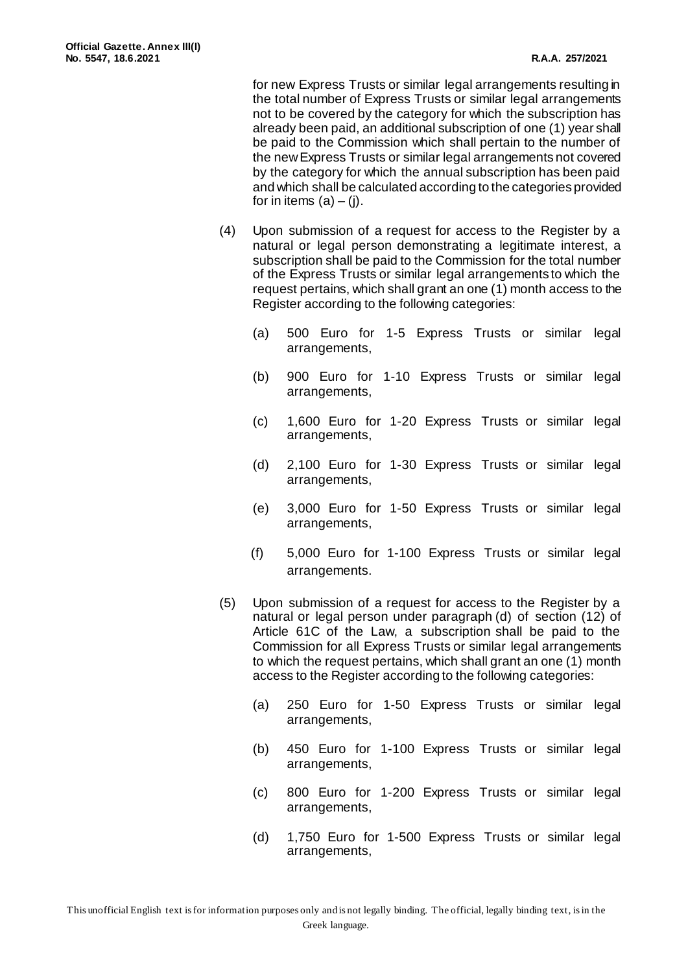for new Express Trusts or similar legal arrangements resulting in the total number of Express Trusts or similar legal arrangements not to be covered by the category for which the subscription has already been paid, an additional subscription of one (1) year shall be paid to the Commission which shall pertain to the number of the new Express Trusts or similar legal arrangements not covered by the category for which the annual subscription has been paid and which shall be calculated according to the categories provided for in items  $(a) - (i)$ .

- (4) Upon submission of a request for access to the Register by a natural or legal person demonstrating a legitimate interest, a subscription shall be paid to the Commission for the total number of the Express Trusts or similar legal arrangements to which the request pertains, which shall grant an one (1) month access to the Register according to the following categories:
	- (a) 500 Euro for 1-5 Express Trusts or similar legal arrangements,
	- (b) 900 Euro for 1-10 Express Trusts or similar legal arrangements,
	- (c) 1,600 Euro for 1-20 Express Trusts or similar legal arrangements,
	- (d) 2,100 Euro for 1-30 Express Trusts or similar legal arrangements,
	- (e) 3,000 Euro for 1-50 Express Trusts or similar legal arrangements,
	- (f) 5,000 Euro for 1-100 Express Trusts or similar legal arrangements.
- (5) Upon submission of a request for access to the Register by a natural or legal person under paragraph (d) of section (12) of Article 61C of the Law, a subscription shall be paid to the Commission for all Express Trusts or similar legal arrangements to which the request pertains, which shall grant an one (1) month access to the Register according to the following categories:
	- (a) 250 Euro for 1-50 Express Trusts or similar legal arrangements,
	- (b) 450 Euro for 1-100 Express Trusts or similar legal arrangements,
	- (c) 800 Euro for 1-200 Express Trusts or similar legal arrangements,
	- (d) 1,750 Euro for 1-500 Express Trusts or similar legal arrangements,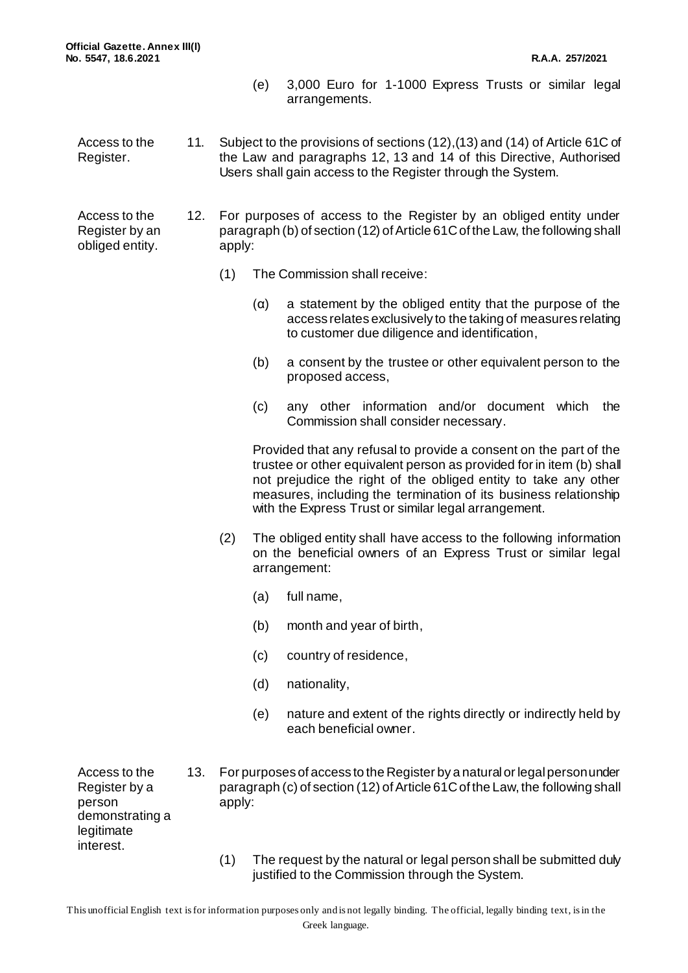- (e) 3,000 Euro for 1-1000 Express Trusts or similar legal arrangements.
- Access to the Register. 11. Subject to the provisions of sections (12),(13) and (14) of Article 61C of the Law and paragraphs 12, 13 and 14 of this Directive, Authorised Users shall gain access to the Register through the System.

Access to the Register by an obliged entity.

- 12. For purposes of access to the Register by an obliged entity under paragraph (b) of section (12) of Article 61Cof the Law, the following shall apply:
	- (1) The Commission shall receive:
		- $(a)$  a statement by the obliged entity that the purpose of the access relates exclusively to the taking of measures relating to customer due diligence and identification,
		- (b) a consent by the trustee or other equivalent person to the proposed access,
		- (c) any other information and/or document which the Commission shall consider necessary.

Provided that any refusal to provide a consent on the part of the trustee or other equivalent person as provided for in item (b) shall not prejudice the right of the obliged entity to take any other measures, including the termination of its business relationship with the Express Trust or similar legal arrangement.

- (2) The obliged entity shall have access to the following information on the beneficial owners of an Express Trust or similar legal arrangement:
	- (a) full name,
	- (b) month and year of birth,
	- (c) country of residence,
	- (d) nationality,
	- (e) nature and extent of the rights directly or indirectly held by each beneficial owner.

Access to the Register by a person demonstrating a legitimate interest.

- 13. For purposes of access to the Register by a natural or legal person under paragraph (c) of section (12) of Article 61C of the Law, the following shall apply:
	- (1) The request by the natural or legal person shall be submitted duly justified to the Commission through the System.

This unofficial English text is for information purposes only and is not legally binding. The official, legally binding text, is in the Greek language.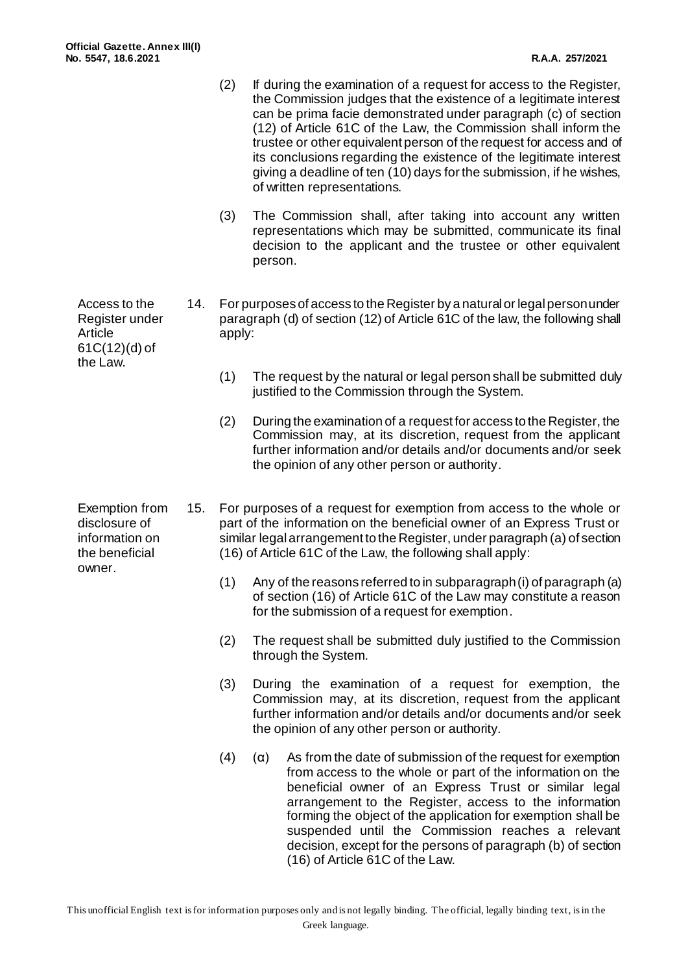- (2) If during the examination of a request for access to the Register, the Commission judges that the existence of a legitimate interest can be prima facie demonstrated under paragraph (c) of section (12) of Article 61C of the Law, the Commission shall inform the trustee or other equivalent person of the request for access and of its conclusions regarding the existence of the legitimate interest giving a deadline of ten (10) days for the submission, if he wishes, of written representations.
	- (3) The Commission shall, after taking into account any written representations which may be submitted, communicate its final decision to the applicant and the trustee or other equivalent person.
- 14. For purposes of access to the Register by a natural or legal person under paragraph (d) of section (12) of Article 61C of the law, the following shall apply:
	- (1) The request by the natural or legal person shall be submitted duly justified to the Commission through the System.
	- (2) During the examination of a request for access to the Register, the Commission may, at its discretion, request from the applicant further information and/or details and/or documents and/or seek the opinion of any other person or authority.
- 15. For purposes of a request for exemption from access to the whole or part of the information on the beneficial owner of an Express Trust or similar legal arrangement to the Register, under paragraph (a) of section (16) of Article 61C of the Law, the following shall apply:
	- (1) Any of the reasons referred to in subparagraph (i) of paragraph (a) of section (16) of Article 61C of the Law may constitute a reason for the submission of a request for exemption.
	- (2) The request shall be submitted duly justified to the Commission through the System.
	- (3) During the examination of a request for exemption, the Commission may, at its discretion, request from the applicant further information and/or details and/or documents and/or seek the opinion of any other person or authority.
	- (4)  $(\alpha)$  As from the date of submission of the request for exemption from access to the whole or part of the information on the beneficial owner of an Express Trust or similar legal arrangement to the Register, access to the information forming the object of the application for exemption shall be suspended until the Commission reaches a relevant decision, except for the persons of paragraph (b) of section (16) of Article 61C of the Law.

This unofficial English text is for information purposes only and is not legally binding. The official, legally binding text, is in the Greek language.

Access to the Register under Article 61C(12)(d) of the Law.

Exemption from disclosure of information on the beneficial owner.